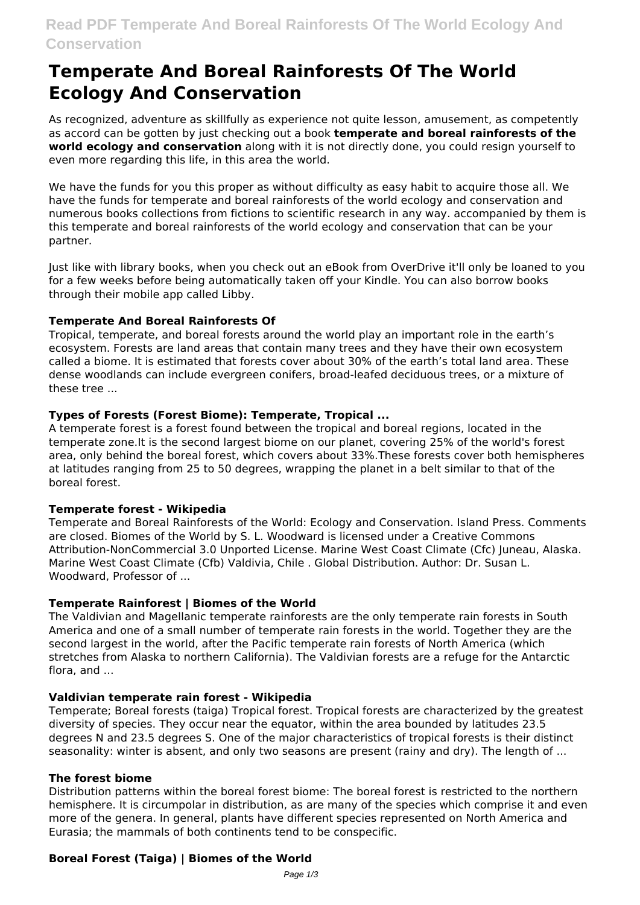# **Temperate And Boreal Rainforests Of The World Ecology And Conservation**

As recognized, adventure as skillfully as experience not quite lesson, amusement, as competently as accord can be gotten by just checking out a book **temperate and boreal rainforests of the world ecology and conservation** along with it is not directly done, you could resign yourself to even more regarding this life, in this area the world.

We have the funds for you this proper as without difficulty as easy habit to acquire those all. We have the funds for temperate and boreal rainforests of the world ecology and conservation and numerous books collections from fictions to scientific research in any way. accompanied by them is this temperate and boreal rainforests of the world ecology and conservation that can be your partner.

Just like with library books, when you check out an eBook from OverDrive it'll only be loaned to you for a few weeks before being automatically taken off your Kindle. You can also borrow books through their mobile app called Libby.

# **Temperate And Boreal Rainforests Of**

Tropical, temperate, and boreal forests around the world play an important role in the earth's ecosystem. Forests are land areas that contain many trees and they have their own ecosystem called a biome. It is estimated that forests cover about 30% of the earth's total land area. These dense woodlands can include evergreen conifers, broad-leafed deciduous trees, or a mixture of these tree ...

# **Types of Forests (Forest Biome): Temperate, Tropical ...**

A temperate forest is a forest found between the tropical and boreal regions, located in the temperate zone.It is the second largest biome on our planet, covering 25% of the world's forest area, only behind the boreal forest, which covers about 33%.These forests cover both hemispheres at latitudes ranging from 25 to 50 degrees, wrapping the planet in a belt similar to that of the boreal forest.

# **Temperate forest - Wikipedia**

Temperate and Boreal Rainforests of the World: Ecology and Conservation. Island Press. Comments are closed. Biomes of the World by S. L. Woodward is licensed under a Creative Commons Attribution-NonCommercial 3.0 Unported License. Marine West Coast Climate (Cfc) Juneau, Alaska. Marine West Coast Climate (Cfb) Valdivia, Chile . Global Distribution. Author: Dr. Susan L. Woodward, Professor of ...

# **Temperate Rainforest | Biomes of the World**

The Valdivian and Magellanic temperate rainforests are the only temperate rain forests in South America and one of a small number of temperate rain forests in the world. Together they are the second largest in the world, after the Pacific temperate rain forests of North America (which stretches from Alaska to northern California). The Valdivian forests are a refuge for the Antarctic flora, and ...

# **Valdivian temperate rain forest - Wikipedia**

Temperate; Boreal forests (taiga) Tropical forest. Tropical forests are characterized by the greatest diversity of species. They occur near the equator, within the area bounded by latitudes 23.5 degrees N and 23.5 degrees S. One of the major characteristics of tropical forests is their distinct seasonality: winter is absent, and only two seasons are present (rainy and dry). The length of ...

# **The forest biome**

Distribution patterns within the boreal forest biome: The boreal forest is restricted to the northern hemisphere. It is circumpolar in distribution, as are many of the species which comprise it and even more of the genera. In general, plants have different species represented on North America and Eurasia; the mammals of both continents tend to be conspecific.

# **Boreal Forest (Taiga) | Biomes of the World**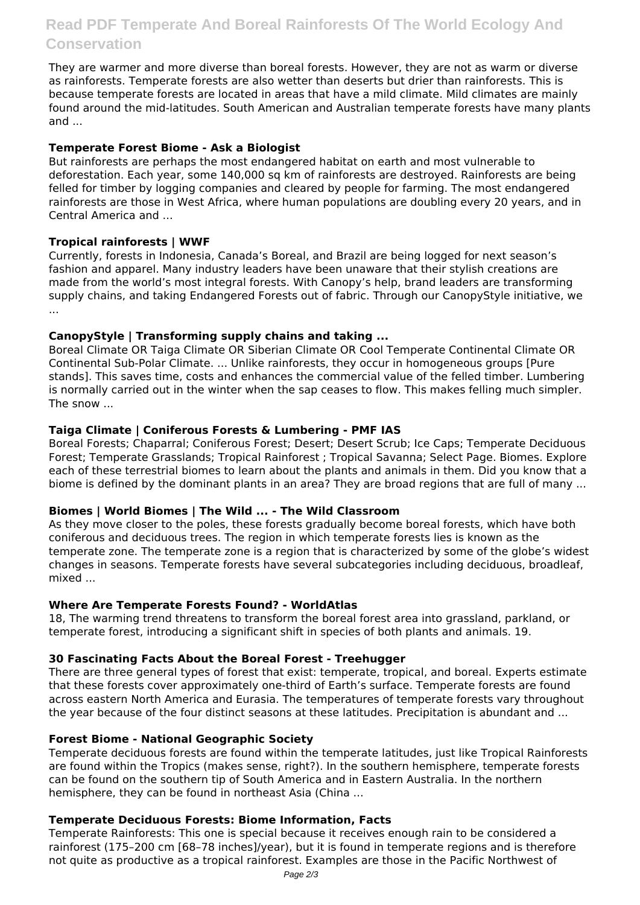# **Read PDF Temperate And Boreal Rainforests Of The World Ecology And Conservation**

They are warmer and more diverse than boreal forests. However, they are not as warm or diverse as rainforests. Temperate forests are also wetter than deserts but drier than rainforests. This is because temperate forests are located in areas that have a mild climate. Mild climates are mainly found around the mid-latitudes. South American and Australian temperate forests have many plants and ...

#### **Temperate Forest Biome - Ask a Biologist**

But rainforests are perhaps the most endangered habitat on earth and most vulnerable to deforestation. Each year, some 140,000 sq km of rainforests are destroyed. Rainforests are being felled for timber by logging companies and cleared by people for farming. The most endangered rainforests are those in West Africa, where human populations are doubling every 20 years, and in Central America and ...

# **Tropical rainforests | WWF**

Currently, forests in Indonesia, Canada's Boreal, and Brazil are being logged for next season's fashion and apparel. Many industry leaders have been unaware that their stylish creations are made from the world's most integral forests. With Canopy's help, brand leaders are transforming supply chains, and taking Endangered Forests out of fabric. Through our CanopyStyle initiative, we ...

#### **CanopyStyle | Transforming supply chains and taking ...**

Boreal Climate OR Taiga Climate OR Siberian Climate OR Cool Temperate Continental Climate OR Continental Sub-Polar Climate. ... Unlike rainforests, they occur in homogeneous groups [Pure stands]. This saves time, costs and enhances the commercial value of the felled timber. Lumbering is normally carried out in the winter when the sap ceases to flow. This makes felling much simpler. The snow ...

#### **Taiga Climate | Coniferous Forests & Lumbering - PMF IAS**

Boreal Forests; Chaparral; Coniferous Forest; Desert; Desert Scrub; Ice Caps; Temperate Deciduous Forest; Temperate Grasslands; Tropical Rainforest ; Tropical Savanna; Select Page. Biomes. Explore each of these terrestrial biomes to learn about the plants and animals in them. Did you know that a biome is defined by the dominant plants in an area? They are broad regions that are full of many ...

#### **Biomes | World Biomes | The Wild ... - The Wild Classroom**

As they move closer to the poles, these forests gradually become boreal forests, which have both coniferous and deciduous trees. The region in which temperate forests lies is known as the temperate zone. The temperate zone is a region that is characterized by some of the globe's widest changes in seasons. Temperate forests have several subcategories including deciduous, broadleaf, mixed ...

#### **Where Are Temperate Forests Found? - WorldAtlas**

18, The warming trend threatens to transform the boreal forest area into grassland, parkland, or temperate forest, introducing a significant shift in species of both plants and animals. 19.

#### **30 Fascinating Facts About the Boreal Forest - Treehugger**

There are three general types of forest that exist: temperate, tropical, and boreal. Experts estimate that these forests cover approximately one-third of Earth's surface. Temperate forests are found across eastern North America and Eurasia. The temperatures of temperate forests vary throughout the year because of the four distinct seasons at these latitudes. Precipitation is abundant and ...

#### **Forest Biome - National Geographic Society**

Temperate deciduous forests are found within the temperate latitudes, just like Tropical Rainforests are found within the Tropics (makes sense, right?). In the southern hemisphere, temperate forests can be found on the southern tip of South America and in Eastern Australia. In the northern hemisphere, they can be found in northeast Asia (China ...

#### **Temperate Deciduous Forests: Biome Information, Facts**

Temperate Rainforests: This one is special because it receives enough rain to be considered a rainforest (175–200 cm [68–78 inches]/year), but it is found in temperate regions and is therefore not quite as productive as a tropical rainforest. Examples are those in the Pacific Northwest of